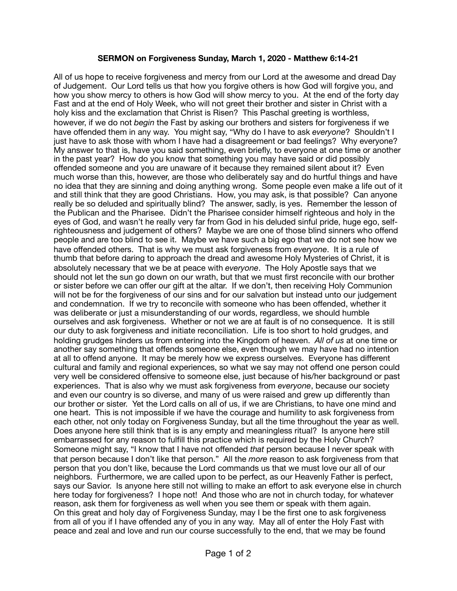## **SERMON on Forgiveness Sunday, March 1, 2020 - Matthew 6:14-21**

All of us hope to receive forgiveness and mercy from our Lord at the awesome and dread Day of Judgement. Our Lord tells us that how you forgive others is how God will forgive you, and how you show mercy to others is how God will show mercy to you. At the end of the forty day Fast and at the end of Holy Week, who will not greet their brother and sister in Christ with a holy kiss and the exclamation that Christ is Risen? This Paschal greeting is worthless, however, if we do not *begin* the Fast by asking our brothers and sisters for forgiveness if we have offended them in any way. You might say, "Why do I have to ask *everyone*? Shouldn't I just have to ask those with whom I have had a disagreement or bad feelings? Why everyone? My answer to that is, have you said something, even briefly, to everyone at one time or another in the past year? How do you know that something you may have said or did possibly offended someone and you are unaware of it because they remained silent about it? Even much worse than this, however, are those who deliberately say and do hurtful things and have no idea that they are sinning and doing anything wrong. Some people even make a life out of it and still think that they are good Christians. How, you may ask, is that possible? Can anyone really be so deluded and spiritually blind? The answer, sadly, is yes. Remember the lesson of the Publican and the Pharisee. Didn't the Pharisee consider himself righteous and holy in the eyes of God, and wasn't he really very far from God in his deluded sinful pride, huge ego, selfrighteousness and judgement of others? Maybe we are one of those blind sinners who offend people and are too blind to see it. Maybe we have such a big ego that we do not see how we have offended others. That is why we must ask forgiveness from *everyone*. It is a rule of thumb that before daring to approach the dread and awesome Holy Mysteries of Christ, it is absolutely necessary that we be at peace with *everyone*. The Holy Apostle says that we should not let the sun go down on our wrath, but that we must first reconcile with our brother or sister before we can offer our gift at the altar. If we don't, then receiving Holy Communion will not be for the forgiveness of our sins and for our salvation but instead unto our judgement and condemnation. If we try to reconcile with someone who has been offended, whether it was deliberate or just a misunderstanding of our words, regardless, we should humble ourselves and ask forgiveness. Whether or not we are at fault is of no consequence. It is still our duty to ask forgiveness and initiate reconciliation. Life is too short to hold grudges, and holding grudges hinders us from entering into the Kingdom of heaven. *All of us* at one time or another say something that offends someone else, even though we may have had no intention at all to offend anyone. It may be merely how we express ourselves. Everyone has different cultural and family and regional experiences, so what we say may not offend one person could very well be considered offensive to someone else, just because of his/her background or past experiences. That is also why we must ask forgiveness from *everyone*, because our society and even our country is so diverse, and many of us were raised and grew up differently than our brother or sister. Yet the Lord calls on all of us, if we are Christians, to have one mind and one heart. This is not impossible if we have the courage and humility to ask forgiveness from each other, not only today on Forgiveness Sunday, but all the time throughout the year as well. Does anyone here still think that is is any empty and meaningless ritual? Is anyone here still embarrassed for any reason to fulfill this practice which is required by the Holy Church? Someone might say, "I know that I have not offended *that* person because I never speak with that person because I don't like that person." All the *more* reason to ask forgiveness from that person that you don't like, because the Lord commands us that we must love our all of our neighbors. Furthermore, we are called upon to be perfect, as our Heavenly Father is perfect, says our Savior. Is anyone here still not willing to make an effort to ask everyone else in church here today for forgiveness? I hope not! And those who are not in church today, for whatever reason, ask them for forgiveness as well when you see them or speak with them again. On this great and holy day of Forgiveness Sunday, may I be the first one to ask forgiveness from all of you if I have offended any of you in any way. May all of enter the Holy Fast with peace and zeal and love and run our course successfully to the end, that we may be found